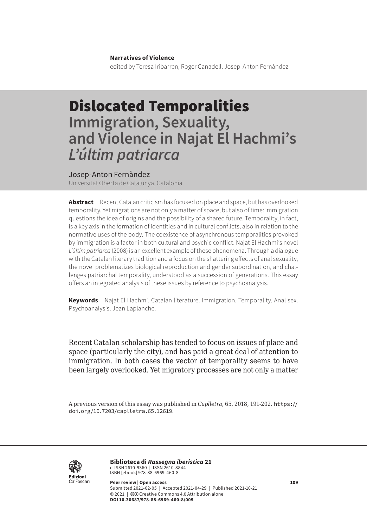## **Narratives of Violence**

edited by Teresa Iribarren, Roger Canadell, Josep-Anton Fernàndez

## Dislocated Temporalities **Immigration, Sexuality, and Violence in Najat El Hachmi's**  *L'últim patriarca*

## Josep-Anton Fernàndez

Universitat Oberta de Catalunya, Catalonia

**Abstract** Recent Catalan criticism has focused on place and space, but has overlooked temporality. Yet migrations are not only a matter of space, but also of time: immigration questions the idea of origins and the possibility of a shared future. Temporality, in fact, is a key axis in the formation of identities and in cultural conflicts, also in relation to the normative uses of the body. The coexistence of asynchronous temporalities provoked by immigration is a factor in both cultural and psychic conflict. Najat El Hachmi's novel *L'últim patriarca* (2008) is an excellent example of these phenomena. Through a dialogue with the Catalan literary tradition and a focus on the shattering effects of anal sexuality, the novel problematizes biological reproduction and gender subordination, and challenges patriarchal temporality, understood as a succession of generations. This essay offers an integrated analysis of these issues by reference to psychoanalysis.

**Keywords** Najat El Hachmi. Catalan literature. Immigration. Temporality. Anal sex. Psychoanalysis. Jean Laplanche.

Recent Catalan scholarship has tended to focus on issues of place and space (particularly the city), and has paid a great deal of attention to immigration. In both cases the vector of temporality seems to have been largely overlooked. Yet migratory processes are not only a matter

A previous version of this essay was published in *Caplletra*, 65, 2018, 191-202. [https://](https://doi.org/10.7203/caplletra.65.12619) [doi.org/10.7203/caplletra.65.12619](https://doi.org/10.7203/caplletra.65.12619).



**Biblioteca di** *Rassegna iberistica* 21 e-ISSN 2610-9360 | ISSN 2610-8844<br>ISBN [ebook] 978-88-6969-460-8

**Peer review | Open access 109** Submitted 2021-02-05 | Accepted 2021-04-29 | Published 2021-10-21 © 2021 | @ Creative Commons 4.0 Attribution alone **DOI 10.30687/978-88-6969-460-8/005**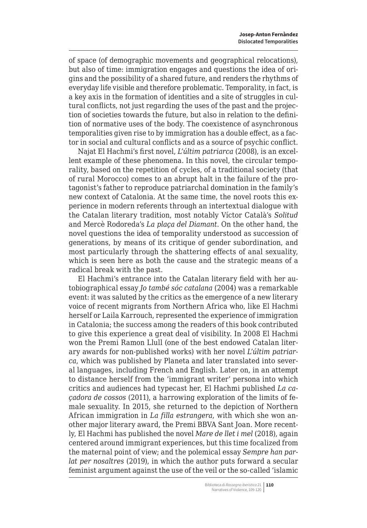of space (of demographic movements and geographical relocations), but also of time: immigration engages and questions the idea of origins and the possibility of a shared future, and renders the rhythms of everyday life visible and therefore problematic. Temporality, in fact, is a key axis in the formation of identities and a site of struggles in cultural conflicts, not just regarding the uses of the past and the projection of societies towards the future, but also in relation to the definition of normative uses of the body. The coexistence of asynchronous temporalities given rise to by immigration has a double effect, as a factor in social and cultural conflicts and as a source of psychic conflict.

Najat El Hachmi's first novel, *L'últim patriarca* (2008), is an excellent example of these phenomena. In this novel, the circular temporality, based on the repetition of cycles, of a traditional society (that of rural Morocco) comes to an abrupt halt in the failure of the protagonist's father to reproduce patriarchal domination in the family's new context of Catalonia. At the same time, the novel roots this experience in modern referents through an intertextual dialogue with the Catalan literary tradition, most notably Víctor Català's *Solitud* and Mercè Rodoreda's *La plaça del Diamant*. On the other hand, the novel questions the idea of temporality understood as succession of generations, by means of its critique of gender subordination, and most particularly through the shattering effects of anal sexuality, which is seen here as both the cause and the strategic means of a radical break with the past.

El Hachmi's entrance into the Catalan literary field with her autobiographical essay *Jo també sóc catalana* (2004) was a remarkable event: it was saluted by the critics as the emergence of a new literary voice of recent migrants from Northern Africa who, like El Hachmi herself or Laila Karrouch, represented the experience of immigration in Catalonia; the success among the readers of this book contributed to give this experience a great deal of visibility. In 2008 El Hachmi won the Premi Ramon Llull (one of the best endowed Catalan literary awards for non-published works) with her novel *L'últim patriarca*, which was published by Planeta and later translated into several languages, including French and English. Later on, in an attempt to distance herself from the 'immigrant writer' persona into which critics and audiences had typecast her, El Hachmi published *La caçadora de cossos* (2011), a harrowing exploration of the limits of female sexuality. In 2015, she returned to the depiction of Northern African immigration in *La filla estrangera*, with which she won another major literary award, the Premi BBVA Sant Joan. More recently, El Hachmi has published the novel *Mare de llet i mel* (2018), again centered around immigrant experiences, but this time focalized from the maternal point of view; and the polemical essay *Sempre han parlat per nosaltres* (2019), in which the author puts forward a secular feminist argument against the use of the veil or the so-called 'islamic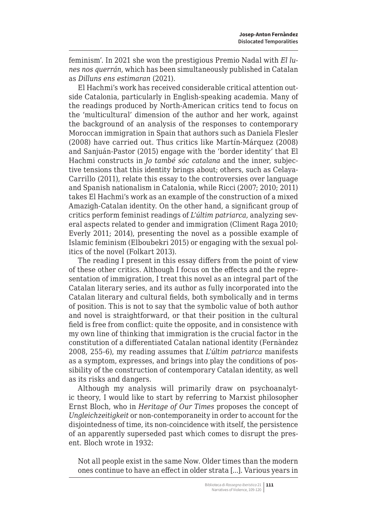feminism'. In 2021 she won the prestigious Premio Nadal with *El lunes nos querrán*, which has been simultaneously published in Catalan as *Dilluns ens estimaran* (2021).

El Hachmi's work has received considerable critical attention outside Catalonia, particularly in English-speaking academia. Many of the readings produced by North-American critics tend to focus on the 'multicultural' dimension of the author and her work, against the background of an analysis of the responses to contemporary Moroccan immigration in Spain that authors such as Daniela Flesler (2008) have carried out. Thus critics like Martín-Márquez (2008) and Sanjuán-Pastor (2015) engage with the 'border identity' that El Hachmi constructs in *Jo també sóc catalana* and the inner, subjective tensions that this identity brings about; others, such as Celaya-Carrillo (2011), relate this essay to the controversies over language and Spanish nationalism in Catalonia, while Ricci (2007; 2010; 2011) takes El Hachmi's work as an example of the construction of a mixed Amazigh-Catalan identity. On the other hand, a significant group of critics perform feminist readings of *L'últim patriarca*, analyzing several aspects related to gender and immigration (Climent Raga 2010; Everly 2011; 2014), presenting the novel as a possible example of Islamic feminism (Elboubekri 2015) or engaging with the sexual politics of the novel (Folkart 2013).

The reading I present in this essay differs from the point of view of these other critics. Although I focus on the effects and the representation of immigration, I treat this novel as an integral part of the Catalan literary series, and its author as fully incorporated into the Catalan literary and cultural fields, both symbolically and in terms of position. This is not to say that the symbolic value of both author and novel is straightforward, or that their position in the cultural field is free from conflict: quite the opposite, and in consistence with my own line of thinking that immigration is the crucial factor in the constitution of a differentiated Catalan national identity (Fernàndez 2008, 255-6), my reading assumes that *L'últim patriarca* manifests as a symptom, expresses, and brings into play the conditions of possibility of the construction of contemporary Catalan identity, as well as its risks and dangers.

Although my analysis will primarily draw on psychoanalytic theory, I would like to start by referring to Marxist philosopher Ernst Bloch, who in *Heritage of Our Times* proposes the concept of *Ungleichzeitigkeit* or non-contemporaneity in order to account for the disjointedness of time, its non-coincidence with itself, the persistence of an apparently superseded past which comes to disrupt the present. Bloch wrote in 1932:

Not all people exist in the same Now. Older times than the modern ones continue to have an effect in older strata [...]. Various years in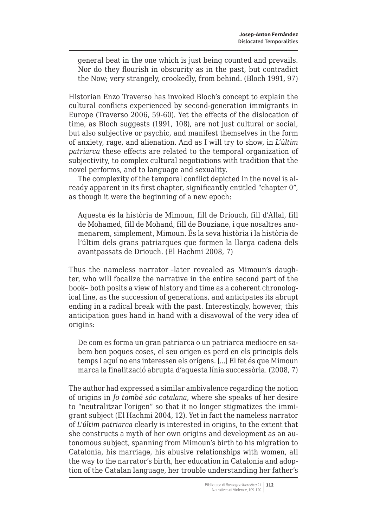general beat in the one which is just being counted and prevails. Nor do they flourish in obscurity as in the past, but contradict the Now; very strangely, crookedly, from behind. (Bloch 1991, 97)

Historian Enzo Traverso has invoked Bloch's concept to explain the cultural conflicts experienced by second-generation immigrants in Europe (Traverso 2006, 59-60). Yet the effects of the dislocation of time, as Bloch suggests (1991, 108), are not just cultural or social, but also subjective or psychic, and manifest themselves in the form of anxiety, rage, and alienation. And as I will try to show, in *L'últim patriarca* these effects are related to the temporal organization of subjectivity, to complex cultural negotiations with tradition that the novel performs, and to language and sexuality.

The complexity of the temporal conflict depicted in the novel is already apparent in its first chapter, significantly entitled "chapter 0", as though it were the beginning of a new epoch:

Aquesta és la història de Mimoun, fill de Driouch, fill d'Allal, fill de Mohamed, fill de Mohand, fill de Bouziane, i que nosaltres anomenarem, simplement, Mimoun. És la seva història i la història de l'últim dels grans patriarques que formen la llarga cadena dels avantpassats de Driouch. (El Hachmi 2008, 7)

Thus the nameless narrator –later revealed as Mimoun's daughter, who will focalize the narrative in the entire second part of the book– both posits a view of history and time as a coherent chronological line, as the succession of generations, and anticipates its abrupt ending in a radical break with the past. Interestingly, however, this anticipation goes hand in hand with a disavowal of the very idea of origins:

De com es forma un gran patriarca o un patriarca mediocre en sabem ben poques coses, el seu origen es perd en els principis dels temps i aquí no ens interessen els orígens. [...] El fet és que Mimoun marca la finalització abrupta d'aquesta línia successòria. (2008, 7)

The author had expressed a similar ambivalence regarding the notion of origins in *Jo també sóc catalana*, where she speaks of her desire to "neutralitzar l'origen" so that it no longer stigmatizes the immigrant subject (El Hachmi 2004, 12). Yet in fact the nameless narrator of *L'últim patriarca* clearly is interested in origins, to the extent that she constructs a myth of her own origins and development as an autonomous subject, spanning from Mimoun's birth to his migration to Catalonia, his marriage, his abusive relationships with women, all the way to the narrator's birth, her education in Catalonia and adoption of the Catalan language, her trouble understanding her father's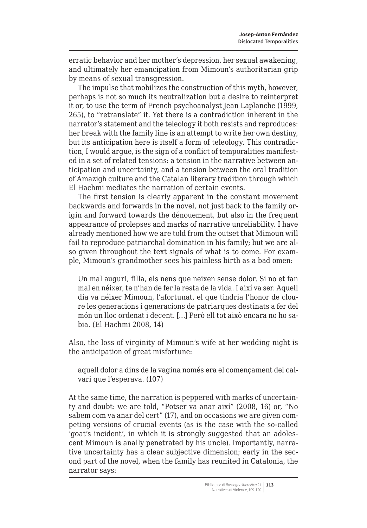erratic behavior and her mother's depression, her sexual awakening, and ultimately her emancipation from Mimoun's authoritarian grip by means of sexual transgression.

The impulse that mobilizes the construction of this myth, however, perhaps is not so much its neutralization but a desire to reinterpret it or, to use the term of French psychoanalyst Jean Laplanche (1999, 265), to "retranslate" it. Yet there is a contradiction inherent in the narrator's statement and the teleology it both resists and reproduces: her break with the family line is an attempt to write her own destiny, but its anticipation here is itself a form of teleology. This contradiction, I would argue, is the sign of a conflict of temporalities manifested in a set of related tensions: a tension in the narrative between anticipation and uncertainty, and a tension between the oral tradition of Amazigh culture and the Catalan literary tradition through which El Hachmi mediates the narration of certain events.

The first tension is clearly apparent in the constant movement backwards and forwards in the novel, not just back to the family origin and forward towards the dénouement, but also in the frequent appearance of prolepses and marks of narrative unreliability. I have already mentioned how we are told from the outset that Mimoun will fail to reproduce patriarchal domination in his family; but we are also given throughout the text signals of what is to come. For example, Mimoun's grandmother sees his painless birth as a bad omen:

Un mal auguri, filla, els nens que neixen sense dolor. Si no et fan mal en néixer, te n'han de fer la resta de la vida. I així va ser. Aquell dia va néixer Mimoun, l'afortunat, el que tindria l'honor de cloure les generacions i generacions de patriarques destinats a fer del món un lloc ordenat i decent. […] Però ell tot això encara no ho sabia. (El Hachmi 2008, 14)

Also, the loss of virginity of Mimoun's wife at her wedding night is the anticipation of great misfortune:

aquell dolor a dins de la vagina només era el començament del calvari que l'esperava. (107)

At the same time, the narration is peppered with marks of uncertainty and doubt: we are told, "Potser va anar així" (2008, 16) or, "No sabem com va anar del cert" (17), and on occasions we are given competing versions of crucial events (as is the case with the so-called 'goat's incident', in which it is strongly suggested that an adolescent Mimoun is anally penetrated by his uncle). Importantly, narrative uncertainty has a clear subjective dimension; early in the second part of the novel, when the family has reunited in Catalonia, the narrator says: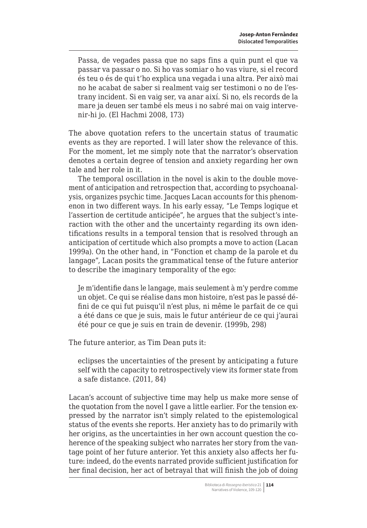Passa, de vegades passa que no saps fins a quin punt el que va passar va passar o no. Si ho vas somiar o ho vas viure, si el record és teu o és de qui t'ho explica una vegada i una altra. Per això mai no he acabat de saber si realment vaig ser testimoni o no de l'estrany incident. Si en vaig ser, va anar així. Si no, els records de la mare ja deuen ser també els meus i no sabré mai on vaig intervenir-hi jo. (El Hachmi 2008, 173)

The above quotation refers to the uncertain status of traumatic events as they are reported. I will later show the relevance of this. For the moment, let me simply note that the narrator's observation denotes a certain degree of tension and anxiety regarding her own tale and her role in it.

The temporal oscillation in the novel is akin to the double movement of anticipation and retrospection that, according to psychoanalysis, organizes psychic time. Jacques Lacan accounts for this phenomenon in two different ways. In his early essay, "Le Temps logique et l'assertion de certitude anticipée", he argues that the subject's interaction with the other and the uncertainty regarding its own identifications results in a temporal tension that is resolved through an anticipation of certitude which also prompts a move to action (Lacan 1999a). On the other hand, in "Fonction et champ de la parole et du langage", Lacan posits the grammatical tense of the future anterior to describe the imaginary temporality of the ego:

Je m'identifie dans le langage, mais seulement à m'y perdre comme un objet. Ce qui se réalise dans mon histoire, n'est pas le passé défini de ce qui fut puisqu'il n'est plus, ni même le parfait de ce qui a été dans ce que je suis, mais le futur antérieur de ce qui j'aurai été pour ce que je suis en train de devenir. (1999b, 298)

The future anterior, as Tim Dean puts it:

eclipses the uncertainties of the present by anticipating a future self with the capacity to retrospectively view its former state from a safe distance. (2011, 84)

Lacan's account of subjective time may help us make more sense of the quotation from the novel I gave a little earlier. For the tension expressed by the narrator isn't simply related to the epistemological status of the events she reports. Her anxiety has to do primarily with her origins, as the uncertainties in her own account question the coherence of the speaking subject who narrates her story from the vantage point of her future anterior. Yet this anxiety also affects her future: indeed, do the events narrated provide sufficient justification for her final decision, her act of betrayal that will finish the job of doing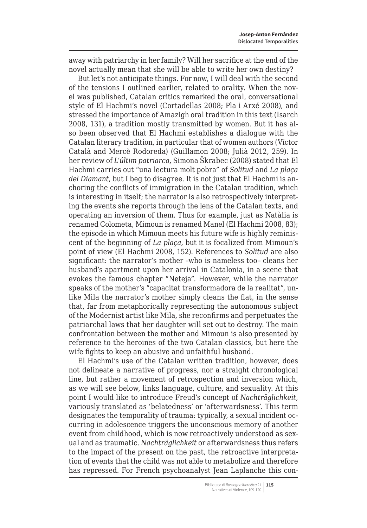away with patriarchy in her family? Will her sacrifice at the end of the novel actually mean that she will be able to write her own destiny?

But let's not anticipate things. For now, I will deal with the second of the tensions I outlined earlier, related to orality. When the novel was published, Catalan critics remarked the oral, conversational style of El Hachmi's novel (Cortadellas 2008; Pla i Arxé 2008), and stressed the importance of Amazigh oral tradition in this text (Isarch 2008, 131), a tradition mostly transmitted by women. But it has also been observed that El Hachmi establishes a dialogue with the Catalan literary tradition, in particular that of women authors (Víctor Català and Mercè Rodoreda) (Guillamon 2008; Julià 2012, 259). In her review of *L'últim patriarca*, Simona Škrabec (2008) stated that El Hachmi carries out "una lectura molt pobra" of *Solitud* and *La plaça del Diamant*, but I beg to disagree. It is not just that El Hachmi is anchoring the conflicts of immigration in the Catalan tradition, which is interesting in itself; the narrator is also retrospectively interpreting the events she reports through the lens of the Catalan texts, and operating an inversion of them. Thus for example, just as Natàlia is renamed Colometa, Mimoun is renamed Manel (El Hachmi 2008, 83); the episode in which Mimoun meets his future wife is highly reminiscent of the beginning of *La plaça*, but it is focalized from Mimoun's point of view (El Hachmi 2008, 152). References to *Solitud* are also significant: the narrator's mother –who is nameless too– cleans her husband's apartment upon her arrival in Catalonia, in a scene that evokes the famous chapter "Neteja". However, while the narrator speaks of the mother's "capacitat transformadora de la realitat", unlike Mila the narrator's mother simply cleans the flat, in the sense that, far from metaphorically representing the autonomous subject of the Modernist artist like Mila, she reconfirms and perpetuates the patriarchal laws that her daughter will set out to destroy. The main confrontation between the mother and Mimoun is also presented by reference to the heroines of the two Catalan classics, but here the wife fights to keep an abusive and unfaithful husband.

El Hachmi's use of the Catalan written tradition, however, does not delineate a narrative of progress, nor a straight chronological line, but rather a movement of retrospection and inversion which, as we will see below, links language, culture, and sexuality. At this point I would like to introduce Freud's concept of *Nachträglichkeit*, variously translated as 'belatedness' or 'afterwardsness'. This term designates the temporality of trauma: typically, a sexual incident occurring in adolescence triggers the unconscious memory of another event from childhood, which is now retroactively understood as sexual and as traumatic. *Nachträglichkeit* or afterwardsness thus refers to the impact of the present on the past, the retroactive interpretation of events that the child was not able to metabolize and therefore has repressed. For French psychoanalyst Jean Laplanche this con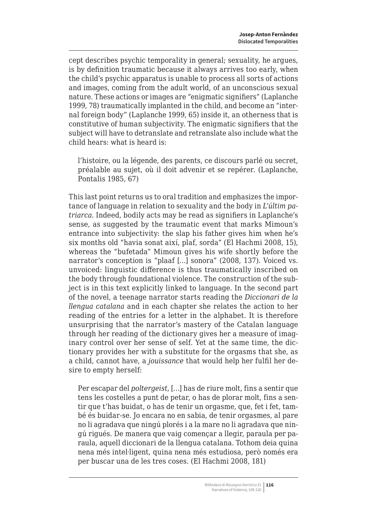cept describes psychic temporality in general; sexuality, he argues, is by definition traumatic because it always arrives too early, when the child's psychic apparatus is unable to process all sorts of actions and images, coming from the adult world, of an unconscious sexual nature. These actions or images are "enigmatic signifiers" (Laplanche 1999, 78) traumatically implanted in the child, and become an "internal foreign body" (Laplanche 1999, 65) inside it, an otherness that is constitutive of human subjectivity. The enigmatic signifiers that the subject will have to detranslate and retranslate also include what the child hears: what is heard is:

l'histoire, ou la légende, des parents, ce discours parlé ou secret, préalable au sujet, où il doit advenir et se repérer. (Laplanche, Pontalis 1985, 67)

This last point returns us to oral tradition and emphasizes the importance of language in relation to sexuality and the body in *L'últim patriarca*. Indeed, bodily acts may be read as signifiers in Laplanche's sense, as suggested by the traumatic event that marks Mimoun's entrance into subjectivity: the slap his father gives him when he's six months old "havia sonat així, plaf, sorda" (El Hachmi 2008, 15), whereas the "bufetada" Mimoun gives his wife shortly before the narrator's conception is "plaaf […] sonora" (2008, 137). Voiced vs. unvoiced: linguistic difference is thus traumatically inscribed on the body through foundational violence. The construction of the subject is in this text explicitly linked to language. In the second part of the novel, a teenage narrator starts reading the *Diccionari de la llengua catalana* and in each chapter she relates the action to her reading of the entries for a letter in the alphabet. It is therefore unsurprising that the narrator's mastery of the Catalan language through her reading of the dictionary gives her a measure of imaginary control over her sense of self. Yet at the same time, the dictionary provides her with a substitute for the orgasms that she, as a child, cannot have, a *jouissance* that would help her fulfil her desire to empty herself:

Per escapar del *poltergeist*, […] has de riure molt, fins a sentir que tens les costelles a punt de petar, o has de plorar molt, fins a sentir que t'has buidat, o has de tenir un orgasme, que, fet i fet, també és buidar-se. Jo encara no en sabia, de tenir orgasmes, al pare no li agradava que ningú plorés i a la mare no li agradava que ningú rigués. De manera que vaig començar a llegir, paraula per paraula, aquell diccionari de la llengua catalana. Tothom deia quina nena més intel·ligent, quina nena més estudiosa, però només era per buscar una de les tres coses. (El Hachmi 2008, 181)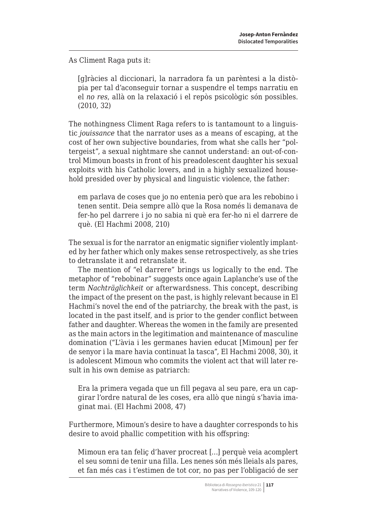As Climent Raga puts it:

[g]ràcies al diccionari, la narradora fa un parèntesi a la distòpia per tal d'aconseguir tornar a suspendre el temps narratiu en el *no res*, allà on la relaxació i el repòs psicològic són possibles. (2010, 32)

The nothingness Climent Raga refers to is tantamount to a linguistic *jouissance* that the narrator uses as a means of escaping, at the cost of her own subjective boundaries, from what she calls her "poltergeist", a sexual nightmare she cannot understand: an out-of-control Mimoun boasts in front of his preadolescent daughter his sexual exploits with his Catholic lovers, and in a highly sexualized household presided over by physical and linguistic violence, the father:

em parlava de coses que jo no entenia però que ara les rebobino i tenen sentit. Deia sempre allò que la Rosa només li demanava de fer-ho pel darrere i jo no sabia ni què era fer-ho ni el darrere de què. (El Hachmi 2008, 210)

The sexual is for the narrator an enigmatic signifier violently implanted by her father which only makes sense retrospectively, as she tries to detranslate it and retranslate it.

The mention of "el darrere" brings us logically to the end. The metaphor of "rebobinar" suggests once again Laplanche's use of the term *Nachträglichkeit* or afterwardsness. This concept, describing the impact of the present on the past, is highly relevant because in El Hachmi's novel the end of the patriarchy, the break with the past, is located in the past itself, and is prior to the gender conflict between father and daughter. Whereas the women in the family are presented as the main actors in the legitimation and maintenance of masculine domination ("L'àvia i les germanes havien educat [Mimoun] per fer de senyor i la mare havia continuat la tasca", El Hachmi 2008, 30), it is adolescent Mimoun who commits the violent act that will later result in his own demise as patriarch:

Era la primera vegada que un fill pegava al seu pare, era un capgirar l'ordre natural de les coses, era allò que ningú s'havia imaginat mai. (El Hachmi 2008, 47)

Furthermore, Mimoun's desire to have a daughter corresponds to his desire to avoid phallic competition with his offspring:

Mimoun era tan feliç d'haver procreat […] perquè veia acomplert el seu somni de tenir una filla. Les nenes són més lleials als pares, et fan més cas i t'estimen de tot cor, no pas per l'obligació de ser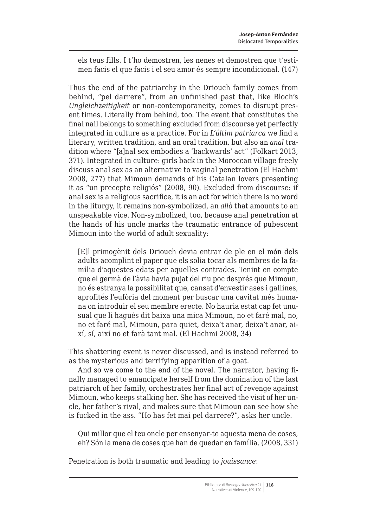els teus fills. I t'ho demostren, les nenes et demostren que t'estimen facis el que facis i el seu amor és sempre incondicional. (147)

Thus the end of the patriarchy in the Driouch family comes from behind, "pel darrere", from an unfinished past that, like Bloch's *Ungleichzeitigkeit* or non-contemporaneity, comes to disrupt present times. Literally from behind, too. The event that constitutes the final nail belongs to something excluded from discourse yet perfectly integrated in culture as a practice. For in *L'últim patriarca* we find a literary, written tradition, and an oral tradition, but also an *anal* tradition where "[a]nal sex embodies a 'backwards' act" (Folkart 2013, 371). Integrated in culture: girls back in the Moroccan village freely discuss anal sex as an alternative to vaginal penetration (El Hachmi 2008, 277) that Mimoun demands of his Catalan lovers presenting it as "un precepte religiós" (2008, 90). Excluded from discourse: if anal sex is a religious sacrifice, it is an act for which there is no word in the liturgy, it remains non-symbolized, an *allò* that amounts to an unspeakable vice. Non-symbolized, too, because anal penetration at the hands of his uncle marks the traumatic entrance of pubescent Mimoun into the world of adult sexuality:

[E]l primogènit dels Driouch devia entrar de ple en el món dels adults acomplint el paper que els solia tocar als membres de la família d'aquestes edats per aquelles contrades. Tenint en compte que el germà de l'àvia havia pujat del riu poc després que Mimoun, no és estranya la possibilitat que, cansat d'envestir ases i gallines, aprofités l'eufòria del moment per buscar una cavitat més humana on introduir el seu membre erecte. No hauria estat cap fet unusual que li hagués dit baixa una mica Mimoun, no et faré mal, no, no et faré mal, Mimoun, para quiet, deixa't anar, deixa't anar, així, sí, així no et farà tant mal. (El Hachmi 2008, 34)

This shattering event is never discussed, and is instead referred to as the mysterious and terrifying apparition of a goat.

And so we come to the end of the novel. The narrator, having finally managed to emancipate herself from the domination of the last patriarch of her family, orchestrates her final act of revenge against Mimoun, who keeps stalking her. She has received the visit of her uncle, her father's rival, and makes sure that Mimoun can see how she is fucked in the ass. "Ho has fet mai pel darrere?", asks her uncle.

Qui millor que el teu oncle per ensenyar-te aquesta mena de coses, eh? Són la mena de coses que han de quedar en família. (2008, 331)

Penetration is both traumatic and leading to *jouissance*: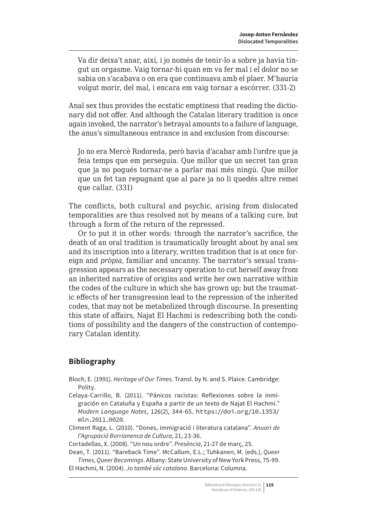Va dir deixa't anar, així, i jo només de tenir-lo a sobre ja havia tingut un orgasme. Vaig tornar-hi quan em va fer mal i el dolor no se sabia on s'acabava o on era que continuava amb el plaer. M'hauria volgut morir, del mal, i encara em vaig tornar a escórrer. (331-2)

Anal sex thus provides the ecstatic emptiness that reading the dictionary did not offer. And although the Catalan literary tradition is once again invoked, the narrator's betrayal amounts to a failure of language, the anus's simultaneous entrance in and exclusion from discourse:

Jo no era Mercè Rodoreda, però havia d'acabar amb l'ordre que ja feia temps que em perseguia. Que millor que un secret tan gran que ja no pogués tornar-ne a parlar mai més ningú. Que millor que un fet tan repugnant que al pare ja no li quedés altre remei que callar. (331)

The conflicts, both cultural and psychic, arising from dislocated temporalities are thus resolved not by means of a talking cure, but through a form of the return of the repressed.

Or to put it in other words: through the narrator's sacrifice, the death of an oral tradition is traumatically brought about by anal sex and its inscription into a literary, written tradition that is at once foreign and *pròpia*, familiar and uncanny. The narrator's sexual transgression appears as the necessary operation to cut herself away from an inherited narrative of origins and write her own narrative within the codes of the culture in which she has grown up; but the traumatic effects of her transgression lead to the repression of the inherited codes, that may not be metabolized through discourse. In presenting this state of affairs, Najat El Hachmi is redescribing both the conditions of possibility and the dangers of the construction of contemporary Catalan identity.

## **Bibliography**

- Bloch, E. (1991). *Heritage of Our Times*. Transl. by N. and S. Plaice. Cambridge: Polity.
- Celaya-Carrillo, B. (2011). "Pánicos racistas: Reflexiones sobre la inmigración en Cataluña y España a partir de un texto de Najat El Hachmi." *Modern Language Notes*, 126(2), 344-65. [https://doi.org/10.1353/](https://doi.org/10.1353/mln.2011.0020) [mln.2011.0020](https://doi.org/10.1353/mln.2011.0020).
- Climent Raga, L. (2010). "Dones, immigració i literatura catalana". *Anuari de l'Agrupació Borrianenca de Cultura*, 21, 23-36.

Cortadellas, X. (2008). "Un nou ordre". *Presència*, 21-27 de març, 25.

Dean, T. (2011). "Bareback Time". McCallum, E.L.; Tuhkanen, M. (eds.), *Queer Times, Queer Becomings*. Albany: State University of New York Press, 75-99. El Hachmi, N. (2004). *Jo també sóc catalana*. Barcelona: Columna.